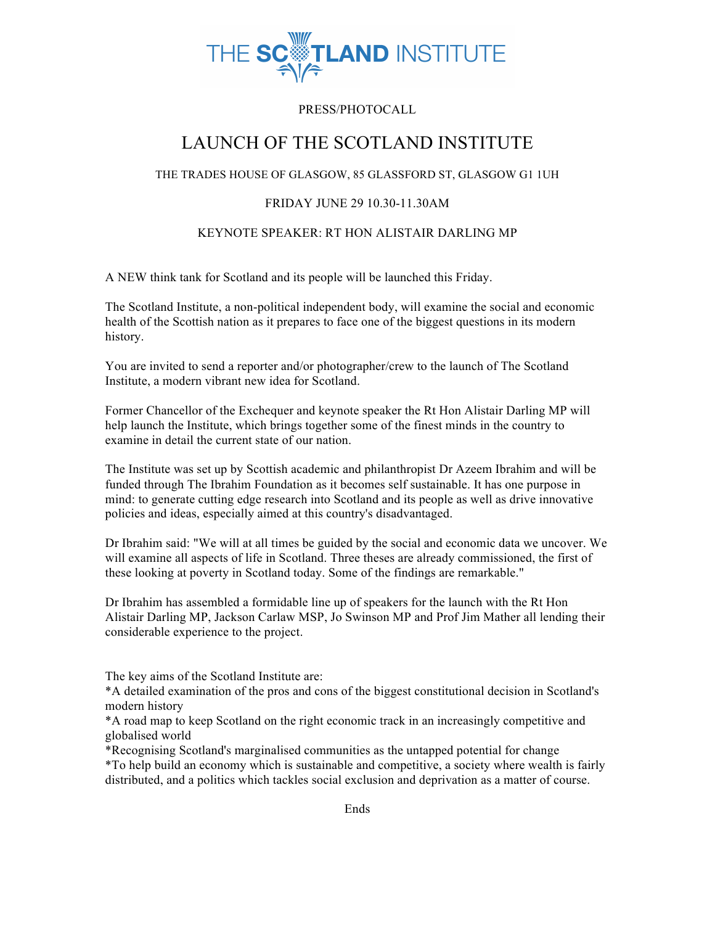

## PRESS/PHOTOCALL

# LAUNCH OF THE SCOTLAND INSTITUTE

### THE TRADES HOUSE OF GLASGOW, 85 GLASSFORD ST, GLASGOW G1 1UH

## FRIDAY JUNE 29 10.30-11.30AM

### KEYNOTE SPEAKER: RT HON ALISTAIR DARLING MP

A NEW think tank for Scotland and its people will be launched this Friday.

The Scotland Institute, a non-political independent body, will examine the social and economic health of the Scottish nation as it prepares to face one of the biggest questions in its modern history.

You are invited to send a reporter and/or photographer/crew to the launch of The Scotland Institute, a modern vibrant new idea for Scotland.

Former Chancellor of the Exchequer and keynote speaker the Rt Hon Alistair Darling MP will help launch the Institute, which brings together some of the finest minds in the country to examine in detail the current state of our nation.

The Institute was set up by Scottish academic and philanthropist Dr Azeem Ibrahim and will be funded through The Ibrahim Foundation as it becomes self sustainable. It has one purpose in mind: to generate cutting edge research into Scotland and its people as well as drive innovative policies and ideas, especially aimed at this country's disadvantaged.

Dr Ibrahim said: "We will at all times be guided by the social and economic data we uncover. We will examine all aspects of life in Scotland. Three theses are already commissioned, the first of these looking at poverty in Scotland today. Some of the findings are remarkable."

Dr Ibrahim has assembled a formidable line up of speakers for the launch with the Rt Hon Alistair Darling MP, Jackson Carlaw MSP, Jo Swinson MP and Prof Jim Mather all lending their considerable experience to the project.

The key aims of the Scotland Institute are:

\*A detailed examination of the pros and cons of the biggest constitutional decision in Scotland's modern history

\*A road map to keep Scotland on the right economic track in an increasingly competitive and globalised world

\*Recognising Scotland's marginalised communities as the untapped potential for change

\*To help build an economy which is sustainable and competitive, a society where wealth is fairly distributed, and a politics which tackles social exclusion and deprivation as a matter of course.